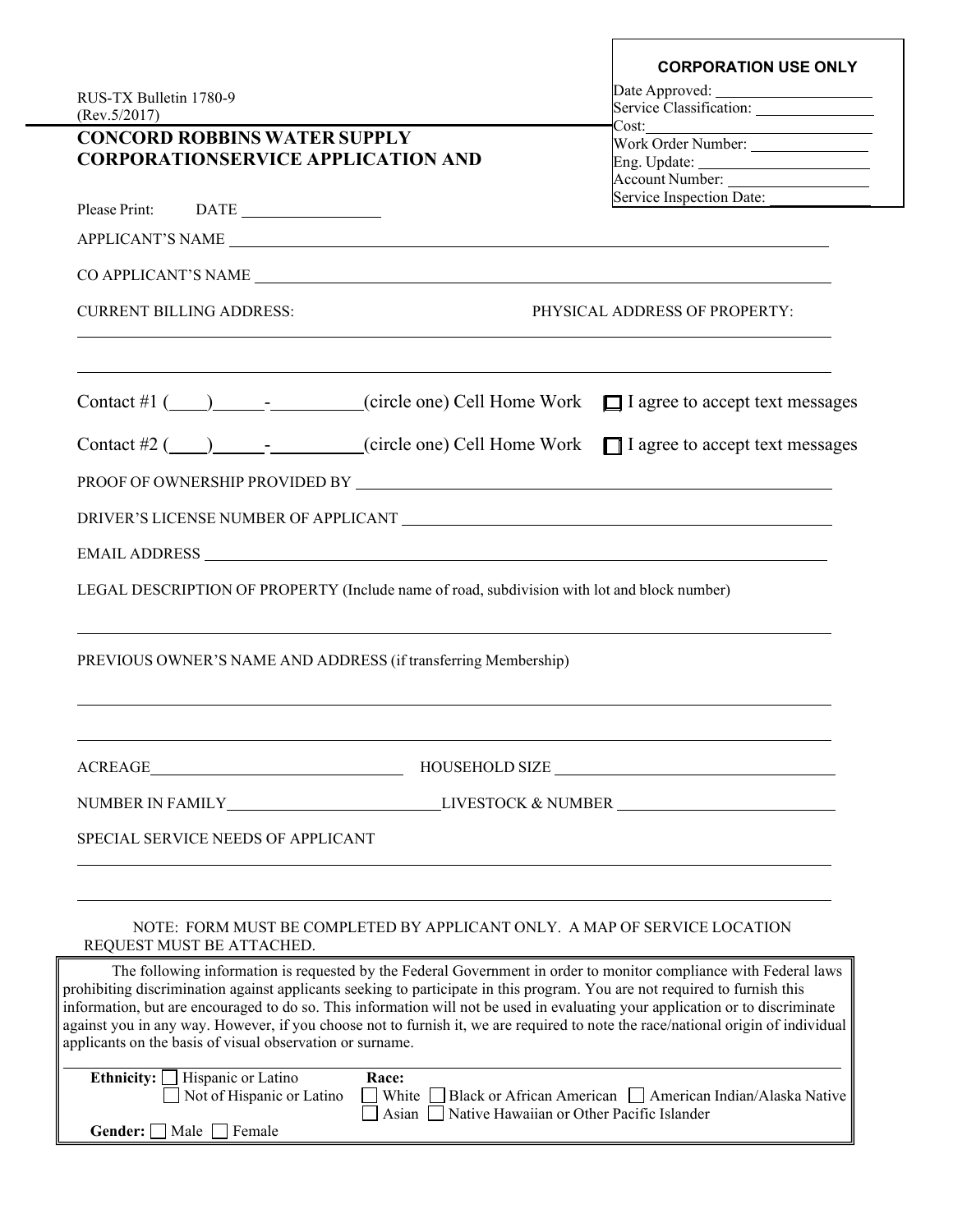|                                                                                                                                                                                                                                                                                                                                                                                                                                                                                                                                                                                   | <b>CORPORATION USE ONLY</b>                                       |  |
|-----------------------------------------------------------------------------------------------------------------------------------------------------------------------------------------------------------------------------------------------------------------------------------------------------------------------------------------------------------------------------------------------------------------------------------------------------------------------------------------------------------------------------------------------------------------------------------|-------------------------------------------------------------------|--|
| RUS-TX Bulletin 1780-9                                                                                                                                                                                                                                                                                                                                                                                                                                                                                                                                                            | Date Approved:                                                    |  |
| (Rev.5/2017)                                                                                                                                                                                                                                                                                                                                                                                                                                                                                                                                                                      | Cost:                                                             |  |
| <b>CONCORD ROBBINS WATER SUPPLY</b>                                                                                                                                                                                                                                                                                                                                                                                                                                                                                                                                               | Work Order Number: ________________                               |  |
| <b>CORPORATIONSERVICE APPLICATION AND</b>                                                                                                                                                                                                                                                                                                                                                                                                                                                                                                                                         |                                                                   |  |
|                                                                                                                                                                                                                                                                                                                                                                                                                                                                                                                                                                                   | Account Number: ____________________<br>Service Inspection Date:  |  |
| Please Print: DATE                                                                                                                                                                                                                                                                                                                                                                                                                                                                                                                                                                |                                                                   |  |
| APPLICANT'S NAME                                                                                                                                                                                                                                                                                                                                                                                                                                                                                                                                                                  |                                                                   |  |
|                                                                                                                                                                                                                                                                                                                                                                                                                                                                                                                                                                                   |                                                                   |  |
| <b>CURRENT BILLING ADDRESS:</b><br>PHYSICAL ADDRESS OF PROPERTY:                                                                                                                                                                                                                                                                                                                                                                                                                                                                                                                  |                                                                   |  |
| Contact #1 ( <u>)</u> ___________(circle one) Cell Home Work <b>□</b> I agree to accept text messages                                                                                                                                                                                                                                                                                                                                                                                                                                                                             |                                                                   |  |
| Contact #2 $(\underline{\hspace{1cm}})$ - circle one) Cell Home Work $\Box$ I agree to accept text messages                                                                                                                                                                                                                                                                                                                                                                                                                                                                       |                                                                   |  |
|                                                                                                                                                                                                                                                                                                                                                                                                                                                                                                                                                                                   |                                                                   |  |
|                                                                                                                                                                                                                                                                                                                                                                                                                                                                                                                                                                                   |                                                                   |  |
|                                                                                                                                                                                                                                                                                                                                                                                                                                                                                                                                                                                   |                                                                   |  |
| LEGAL DESCRIPTION OF PROPERTY (Include name of road, subdivision with lot and block number)                                                                                                                                                                                                                                                                                                                                                                                                                                                                                       |                                                                   |  |
| PREVIOUS OWNER'S NAME AND ADDRESS (if transferring Membership)                                                                                                                                                                                                                                                                                                                                                                                                                                                                                                                    |                                                                   |  |
|                                                                                                                                                                                                                                                                                                                                                                                                                                                                                                                                                                                   | HOUSEHOLD SIZE                                                    |  |
|                                                                                                                                                                                                                                                                                                                                                                                                                                                                                                                                                                                   |                                                                   |  |
| SPECIAL SERVICE NEEDS OF APPLICANT                                                                                                                                                                                                                                                                                                                                                                                                                                                                                                                                                |                                                                   |  |
| NOTE: FORM MUST BE COMPLETED BY APPLICANT ONLY. A MAP OF SERVICE LOCATION<br>REQUEST MUST BE ATTACHED.                                                                                                                                                                                                                                                                                                                                                                                                                                                                            |                                                                   |  |
| The following information is requested by the Federal Government in order to monitor compliance with Federal laws<br>prohibiting discrimination against applicants seeking to participate in this program. You are not required to furnish this<br>information, but are encouraged to do so. This information will not be used in evaluating your application or to discriminate<br>against you in any way. However, if you choose not to furnish it, we are required to note the race/national origin of individual<br>applicants on the basis of visual observation or surname. |                                                                   |  |
| Ethnicity: $\Box$ Hispanic or Latino<br>Race:<br>Not of Hispanic or Latino<br>Asian Native Hawaiian or Other Pacific Islander<br>Gender: Male Female                                                                                                                                                                                                                                                                                                                                                                                                                              | White □ Black or African American □ American Indian/Alaska Native |  |
|                                                                                                                                                                                                                                                                                                                                                                                                                                                                                                                                                                                   |                                                                   |  |

 $\sqrt{ }$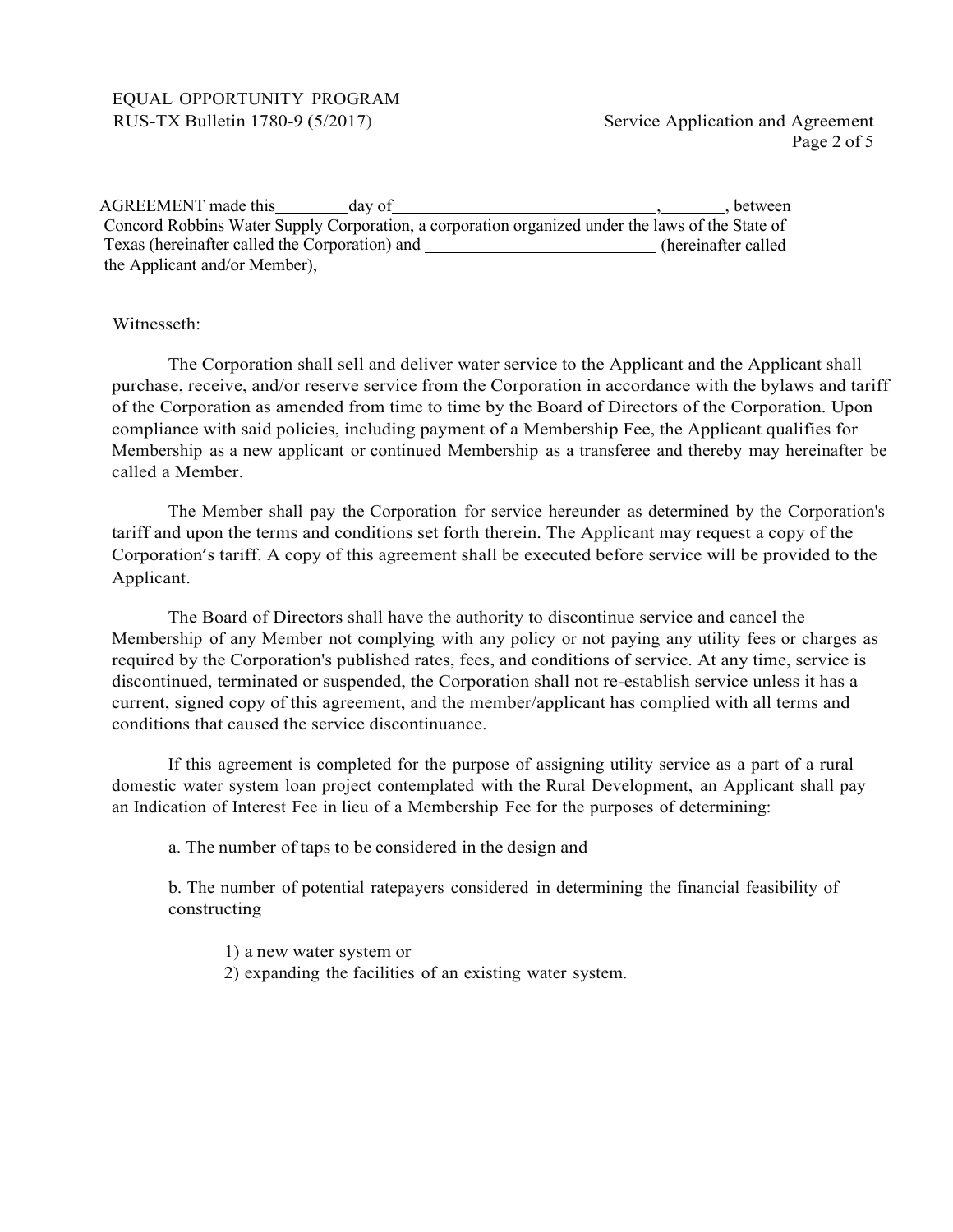## EQUAL OPPORTUNITY PROGRAM RUS-TX Bulletin 1780-9 (5/2017) Service Application and Agreement

| AGREEMENT made this                            | day of | between                                                                                          |
|------------------------------------------------|--------|--------------------------------------------------------------------------------------------------|
|                                                |        | Concord Robbins Water Supply Corporation, a corporation organized under the laws of the State of |
| Texas (hereinafter called the Corporation) and |        | (hereinafter called                                                                              |
| the Applicant and/or Member),                  |        |                                                                                                  |

# Witnesseth:

The Corporation shall sell and deliver water service to the Applicant and the Applicant shall purchase, receive, and/or reserve service from the Corporation in accordance with the bylaws and tariff of the Corporation as amended from time to time by the Board of Directors of the Corporation. Upon compliance with said policies, including payment of a Membership Fee, the Applicant qualifies for Membership as a new applicant or continued Membership as a transferee and thereby may hereinafter be called a Member.

The Member shall pay the Corporation for service hereunder as determined by the Corporation's tariff and upon the terms and conditions set forth therein. The Applicant may request a copy of the Corporation's tariff. A copy of this agreement shall be executed before service will be provided to the Applicant.

The Board of Directors shall have the authority to discontinue service and cancel the Membership of any Member not complying with any policy or not paying any utility fees or charges as required by the Corporation's published rates, fees, and conditions of service. At any time, service is discontinued, terminated or suspended, the Corporation shall not re-establish service unless it has a current, signed copy of this agreement, and the member/applicant has complied with all terms and conditions that caused the service discontinuance.

If this agreement is completed for the purpose of assigning utility service as a part of a rural domestic water system loan project contemplated with the Rural Development, an Applicant shall pay an Indication of Interest Fee in lieu of a Membership Fee for the purposes of determining:

a. The number of taps to be considered in the design and

b. The number of potential ratepayers considered in determining the financial feasibility of constructing

1) a new water system or

2) expanding the facilities of an existing water system.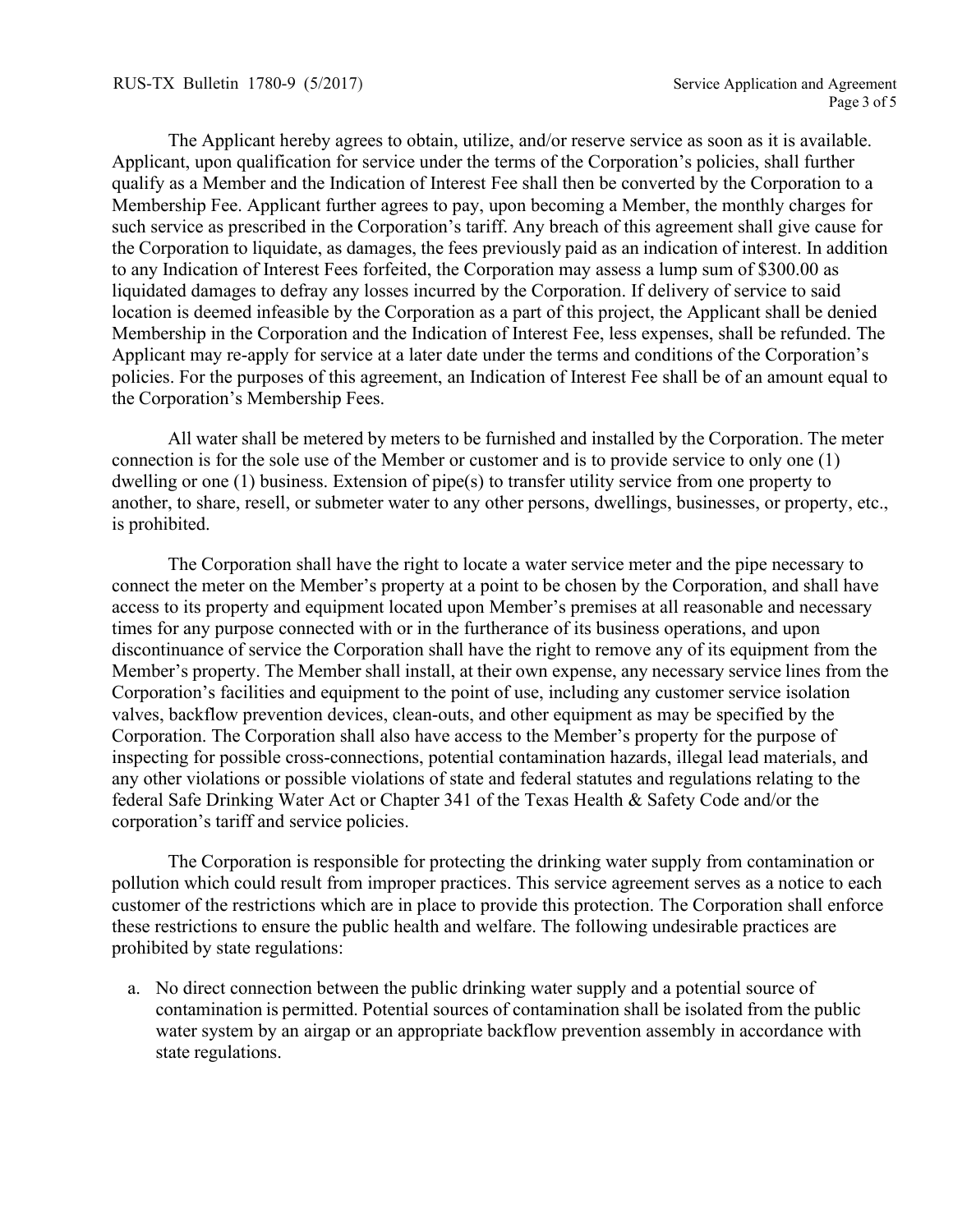The Applicant hereby agrees to obtain, utilize, and/or reserve service as soon as it is available. Applicant, upon qualification for service under the terms of the Corporation's policies, shall further qualify as a Member and the Indication of Interest Fee shall then be converted by the Corporation to a Membership Fee. Applicant further agrees to pay, upon becoming a Member, the monthly charges for such service as prescribed in the Corporation's tariff. Any breach of this agreement shall give cause for the Corporation to liquidate, as damages, the fees previously paid as an indication of interest. In addition to any Indication of Interest Fees forfeited, the Corporation may assess a lump sum of \$300.00 as liquidated damages to defray any losses incurred by the Corporation. If delivery of service to said location is deemed infeasible by the Corporation as a part of this project, the Applicant shall be denied Membership in the Corporation and the Indication of Interest Fee, less expenses, shall be refunded. The Applicant may re-apply for service at a later date under the terms and conditions of the Corporation's policies. For the purposes of this agreement, an Indication of Interest Fee shall be of an amount equal to the Corporation's Membership Fees.

All water shall be metered by meters to be furnished and installed by the Corporation. The meter connection is for the sole use of the Member or customer and is to provide service to only one (1) dwelling or one (1) business. Extension of pipe(s) to transfer utility service from one property to another, to share, resell, or submeter water to any other persons, dwellings, businesses, or property, etc., is prohibited.

The Corporation shall have the right to locate a water service meter and the pipe necessary to connect the meter on the Member's property at a point to be chosen by the Corporation, and shall have access to its property and equipment located upon Member's premises at all reasonable and necessary times for any purpose connected with or in the furtherance of its business operations, and upon discontinuance of service the Corporation shall have the right to remove any of its equipment from the Member's property. The Member shall install, at their own expense, any necessary service lines from the Corporation's facilities and equipment to the point of use, including any customer service isolation valves, backflow prevention devices, clean-outs, and other equipment as may be specified by the Corporation. The Corporation shall also have access to the Member's property for the purpose of inspecting for possible cross-connections, potential contamination hazards, illegal lead materials, and any other violations or possible violations of state and federal statutes and regulations relating to the federal Safe Drinking Water Act or Chapter 341 of the Texas Health & Safety Code and/or the corporation's tariff and service policies.

The Corporation is responsible for protecting the drinking water supply from contamination or pollution which could result from improper practices. This service agreement serves as a notice to each customer of the restrictions which are in place to provide this protection. The Corporation shall enforce these restrictions to ensure the public health and welfare. The following undesirable practices are prohibited by state regulations:

a. No direct connection between the public drinking water supply and a potential source of contamination is permitted. Potential sources of contamination shall be isolated from the public water system by an airgap or an appropriate backflow prevention assembly in accordance with state regulations.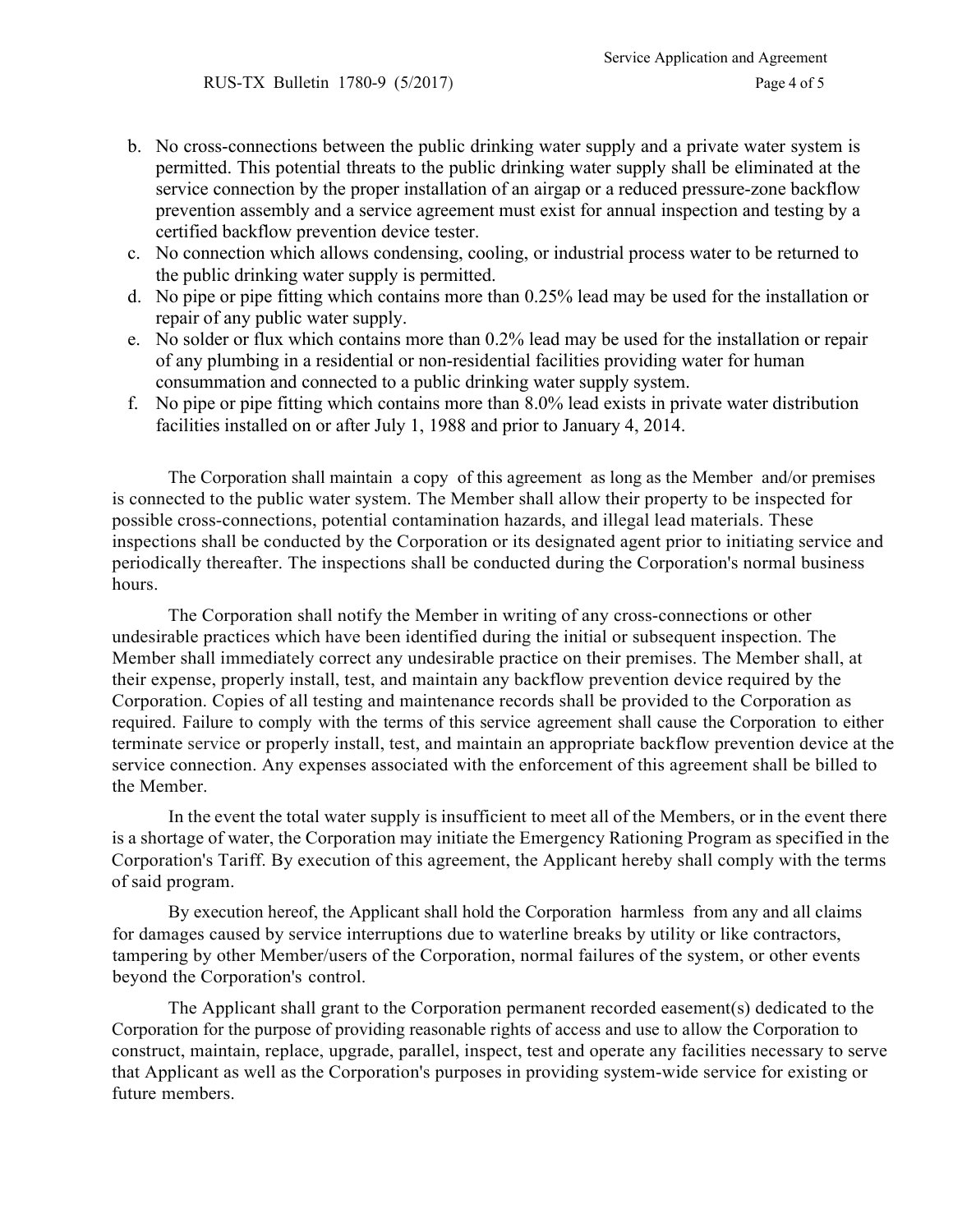- b. No cross-connections between the public drinking water supply and a private water system is permitted. This potential threats to the public drinking water supply shall be eliminated at the service connection by the proper installation of an airgap or a reduced pressure-zone backflow prevention assembly and a service agreement must exist for annual inspection and testing by a certified backflow prevention device tester.
- c. No connection which allows condensing, cooling, or industrial process water to be returned to the public drinking water supply is permitted.
- d. No pipe or pipe fitting which contains more than 0.25% lead may be used for the installation or repair of any public water supply.
- e. No solder or flux which contains more than 0.2% lead may be used for the installation or repair of any plumbing in a residential or non-residential facilities providing water for human consummation and connected to a public drinking water supply system.
- f. No pipe or pipe fitting which contains more than 8.0% lead exists in private water distribution facilities installed on or after July 1, 1988 and prior to January 4, 2014.

The Corporation shall maintain a copy of this agreement as long as the Member and/or premises is connected to the public water system. The Member shall allow their property to be inspected for possible cross-connections, potential contamination hazards, and illegal lead materials. These inspections shall be conducted by the Corporation or its designated agent prior to initiating service and periodically thereafter. The inspections shall be conducted during the Corporation's normal business hours.

The Corporation shall notify the Member in writing of any cross-connections or other undesirable practices which have been identified during the initial or subsequent inspection. The Member shall immediately correct any undesirable practice on their premises. The Member shall, at their expense, properly install, test, and maintain any backflow prevention device required by the Corporation. Copies of all testing and maintenance records shall be provided to the Corporation as required. Failure to comply with the terms of this service agreement shall cause the Corporation to either terminate service or properly install, test, and maintain an appropriate backflow prevention device at the service connection. Any expenses associated with the enforcement of this agreement shall be billed to the Member.

In the event the total water supply is insufficient to meet all of the Members, or in the event there is a shortage of water, the Corporation may initiate the Emergency Rationing Program as specified in the Corporation's Tariff. By execution of this agreement, the Applicant hereby shall comply with the terms of said program.

By execution hereof, the Applicant shall hold the Corporation harmless from any and all claims for damages caused by service interruptions due to waterline breaks by utility or like contractors, tampering by other Member/users of the Corporation, normal failures of the system, or other events beyond the Corporation's control.

The Applicant shall grant to the Corporation permanent recorded easement(s) dedicated to the Corporation for the purpose of providing reasonable rights of access and use to allow the Corporation to construct, maintain, replace, upgrade, parallel, inspect, test and operate any facilities necessary to serve that Applicant as well as the Corporation's purposes in providing system-wide service for existing or future members.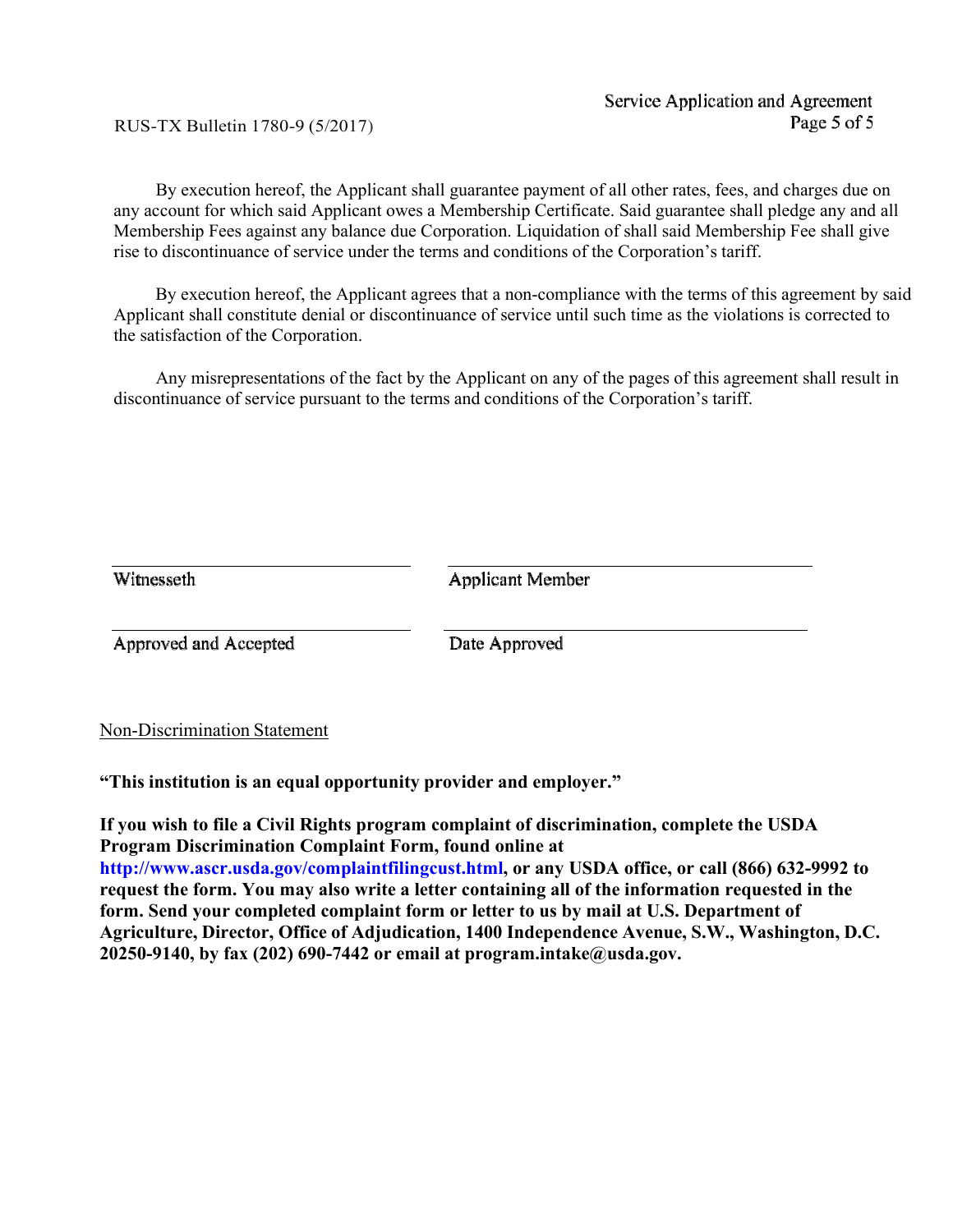RUS-TX Bulletin 1780-9 (5/2017)

By execution hereof, the Applicant shall guarantee payment of all other rates, fees, and charges due on any account for which said Applicant owes a Membership Certificate. Said guarantee shall pledge any and all Membership Fees against any balance due Corporation. Liquidation of shall said Membership Fee shall give rise to discontinuance of service under the terms and conditions of the Corporation's tariff.

By execution hereof, the Applicant agrees that a non-compliance with the terms of this agreement by said Applicant shall constitute denial or discontinuance of service until such time as the violations is corrected to the satisfaction of the Corporation.

Any misrepresentations of the fact by the Applicant on any of the pages of this agreement shall result in discontinuance of service pursuant to the terms and conditions of the Corporation's tariff.

| Witnesseth            | Applicant Member |  |  |
|-----------------------|------------------|--|--|
| Approved and Accepted | Date Approved    |  |  |
|                       |                  |  |  |

Non-Discrimination Statement

**"This institution is an equal opportunity provider and employer."**

**If you wish to file a Civil Rights program complaint of discrimination, complete the USDA Program Discrimination Complaint Form, found online at [http://www.ascr.usda.gov/complaintfilingcust.html, o](http://www.ascr.usda.gov/complaintfilingcust.html)r any USDA office, or call (866) 632-9992 to request the form. You may also write a letter containing all of the information requested in the form. Send your completed complaint form or letter to us by mail at U.S. Department of Agriculture, Director, Office of Adjudication, 1400 Independence Avenue, S.W., Washington, D.C. 20250-9140, by fax (202) 690-7442 or email at [program.int](mailto:program.intake@usda.gov)[ake@usda.gov.](mailto:ake@usda.gov)**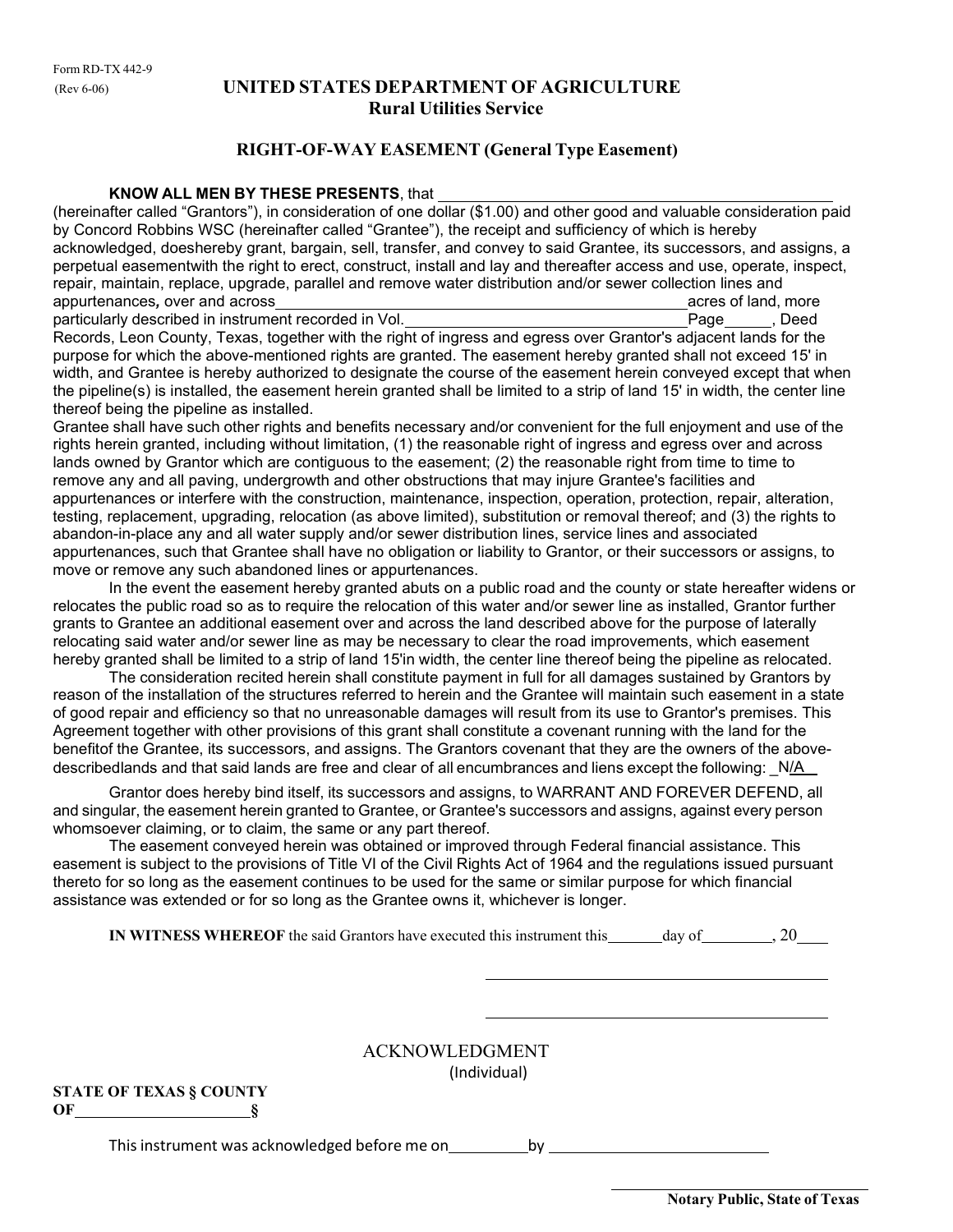# (Rev 6-06) **UNITED STATES DEPARTMENT OF AGRICULTURE Rural Utilities Service**

## **RIGHT-OF-WAY EASEMENT (General Type Easement)**

#### **KNOW ALL MEN BY THESE PRESENTS**, that

(hereinafter called "Grantors"), in consideration of one dollar (\$1.00) and other good and valuable consideration paid by Concord Robbins WSC (hereinafter called "Grantee"), the receipt and sufficiency of which is hereby acknowledged, doeshereby grant, bargain, sell, transfer, and convey to said Grantee, its successors, and assigns, a perpetual easementwith the right to erect, construct, install and lay and thereafter access and use, operate, inspect, repair, maintain, replace, upgrade, parallel and remove water distribution and/or sewer collection lines and appurtenances*,* over and across acres of land, more particularly described in instrument recorded in Vol.

Records, Leon County, Texas, together with the right of ingress and egress over Grantor's adjacent lands for the purpose for which the above-mentioned rights are granted. The easement hereby granted shall not exceed 15' in width, and Grantee is hereby authorized to designate the course of the easement herein conveyed except that when the pipeline(s) is installed, the easement herein granted shall be limited to a strip of land 15' in width, the center line thereof being the pipeline as installed.

Grantee shall have such other rights and benefits necessary and/or convenient for the full enjoyment and use of the rights herein granted, including without limitation, (1) the reasonable right of ingress and egress over and across lands owned by Grantor which are contiguous to the easement; (2) the reasonable right from time to time to remove any and all paving, undergrowth and other obstructions that may injure Grantee's facilities and appurtenances or interfere with the construction, maintenance, inspection, operation, protection, repair, alteration, testing, replacement, upgrading, relocation (as above limited), substitution or removal thereof; and (3) the rights to abandon-in-place any and all water supply and/or sewer distribution lines, service lines and associated appurtenances, such that Grantee shall have no obligation or liability to Grantor, or their successors or assigns, to move or remove any such abandoned lines or appurtenances.

In the event the easement hereby granted abuts on a public road and the county or state hereafter widens or relocates the public road so as to require the relocation of this water and/or sewer line as installed, Grantor further grants to Grantee an additional easement over and across the land described above for the purpose of laterally relocating said water and/or sewer line as may be necessary to clear the road improvements, which easement hereby granted shall be limited to a strip of land 15'in width, the center line thereof being the pipeline as relocated.

The consideration recited herein shall constitute payment in full for all damages sustained by Grantors by reason of the installation of the structures referred to herein and the Grantee will maintain such easement in a state of good repair and efficiency so that no unreasonable damages will result from its use to Grantor's premises. This Agreement together with other provisions of this grant shall constitute a covenant running with the land for the benefitof the Grantee, its successors, and assigns. The Grantors covenant that they are the owners of the abovedescribedlands and that said lands are free and clear of all encumbrances and liens except the following: N/A

Grantor does hereby bind itself, its successors and assigns, to WARRANT AND FOREVER DEFEND, all and singular, the easement herein granted to Grantee, or Grantee's successors and assigns, against every person whomsoever claiming, or to claim, the same or any part thereof.

The easement conveyed herein was obtained or improved through Federal financial assistance. This easement is subject to the provisions of Title VI of the Civil Rights Act of 1964 and the regulations issued pursuant thereto for so long as the easement continues to be used for the same or similar purpose for which financial assistance was extended or for so long as the Grantee owns it, whichever is longer.

**IN WITNESS** WHEREOF the said Grantors have executed this instrument this day of  $\frac{1}{20}$ , 20

ACKNOWLEDGMENT (Individual)

|    | <b>STATE OF TEXAS § COUNTY</b> |  |
|----|--------------------------------|--|
| OF |                                |  |

This instrument was acknowledged before me on by

**Notary Public, State of Texas**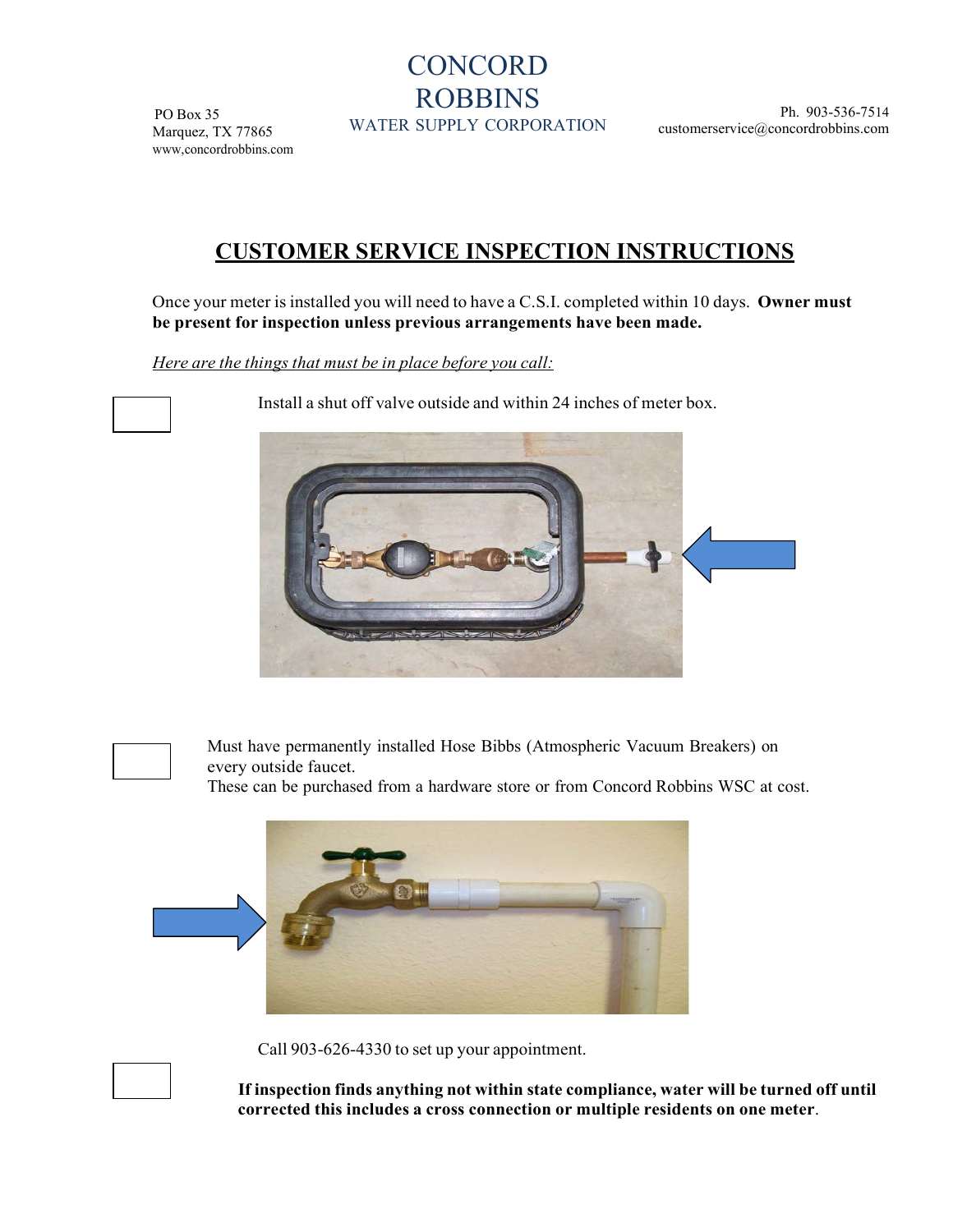# **CONCORD** ROBBINS

PO Box 35 Marquez, TX 77865 [www,concordrobbins.com](http://www.southeastwsc.com/)

WATER SUPPLY CORPORATION

Ph. 903-536-7514 [customerservice@concordrobbins.com](mailto:del@southeastwsc.com)

# **CUSTOMER SERVICE INSPECTION INSTRUCTIONS**

Once your meter is installed you will need to have a C.S.I. completed within 10 days. Owner must **be present for inspection unless previous arrangements have been made.**

*Here are the things that must be in place before you call:*

Install a shut off valve outside and within 24 inches of meter box.





Must have permanently installed Hose Bibbs (Atmospheric Vacuum Breakers) on every outside faucet.

These can be purchased from a hardware store or from Concord Robbins WSC at cost.



Call 903-626-4330 to set up your appointment.

**If inspection finds anything not within state compliance, water will be turned off until corrected this includes a cross connection or multiple residents on one meter**.